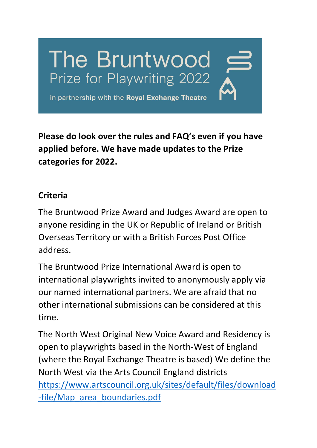

**Please do look over the rules and FAQ's even if you have applied before. We have made updates to the Prize categories for 2022.** 

#### **Criteria**

The Bruntwood Prize Award and Judges Award are open to anyone residing in the UK or Republic of Ireland or British Overseas Territory or with a British Forces Post Office address.

The Bruntwood Prize International Award is open to international playwrights invited to anonymously apply via our named international partners. We are afraid that no other international submissions can be considered at this time.

The North West Original New Voice Award and Residency is open to playwrights based in the North-West of England (where the Royal Exchange Theatre is based) We define the North West via the Arts Council England districts [https://www.artscouncil.org.uk/sites/default/files/download](https://www.artscouncil.org.uk/sites/default/files/download-file/Map_area_boundaries.pdf) [-file/Map\\_area\\_boundaries.pdf](https://www.artscouncil.org.uk/sites/default/files/download-file/Map_area_boundaries.pdf)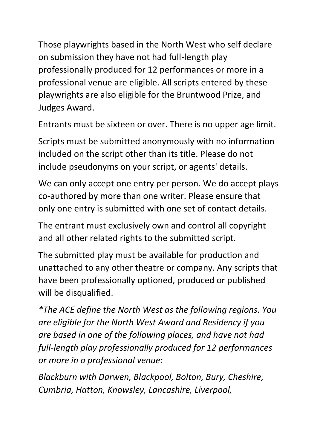Those playwrights based in the North West who self declare on submission they have not had full-length play professionally produced for 12 performances or more in a professional venue are eligible. All scripts entered by these playwrights are also eligible for the Bruntwood Prize, and Judges Award.

Entrants must be sixteen or over. There is no upper age limit.

Scripts must be submitted anonymously with no information included on the script other than its title. Please do not include pseudonyms on your script, or agents' details.

We can only accept one entry per person. We do accept plays co-authored by more than one writer. Please ensure that only one entry is submitted with one set of contact details.

The entrant must exclusively own and control all copyright and all other related rights to the submitted script.

The submitted play must be available for production and unattached to any other theatre or company. Any scripts that have been professionally optioned, produced or published will be disqualified.

*\*The ACE define the North West as the following regions. You are eligible for the North West Award and Residency if you are based in one of the following places, and have not had full-length play professionally produced for 12 performances or more in a professional venue:*

*Blackburn with Darwen, Blackpool, Bolton, Bury, Cheshire, Cumbria, Hatton, Knowsley, Lancashire, Liverpool,*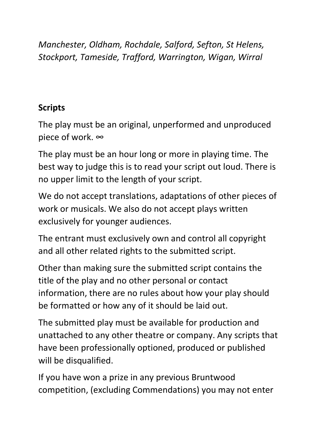*Manchester, Oldham, Rochdale, Salford, Sefton, St Helens, Stockport, Tameside, Trafford, Warrington, Wigan, Wirral*

# **Scripts**

The play must be an original, unperformed and unproduced piece of work. ∞

The play must be an hour long or more in playing time. The best way to judge this is to read your script out loud. There is no upper limit to the length of your script.

We do not accept translations, adaptations of other pieces of work or musicals. We also do not accept plays written exclusively for younger audiences.

The entrant must exclusively own and control all copyright and all other related rights to the submitted script.

Other than making sure the submitted script contains the title of the play and no other personal or contact information, there are no rules about how your play should be formatted or how any of it should be laid out.

The submitted play must be available for production and unattached to any other theatre or company. Any scripts that have been professionally optioned, produced or published will be disqualified.

If you have won a prize in any previous Bruntwood competition, (excluding Commendations) you may not enter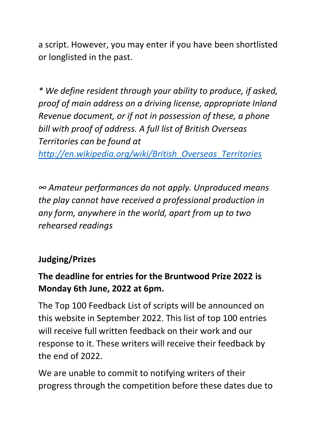a script. However, you may enter if you have been shortlisted or longlisted in the past.

*\* We define resident through your ability to produce, if asked, proof of main address on a driving license, appropriate Inland Revenue document, or if not in possession of these, a phone bill with proof of address. A full list of British Overseas Territories can be found at* 

*[http://en.wikipedia.org/wiki/British\\_Overseas\\_Territories](http://en.wikipedia.org/wiki/British_Overseas_Territories)*

*∞ Amateur performances do not apply. Unproduced means the play cannot have received a professional production in any form, anywhere in the world, apart from up to two rehearsed readings*

### **Judging/Prizes**

# **The deadline for entries for the Bruntwood Prize 2022 is Monday 6th June, 2022 at 6pm.**

The Top 100 Feedback List of scripts will be announced on this website in September 2022. This list of top 100 entries will receive full written feedback on their work and our response to it. These writers will receive their feedback by the end of 2022.

We are unable to commit to notifying writers of their progress through the competition before these dates due to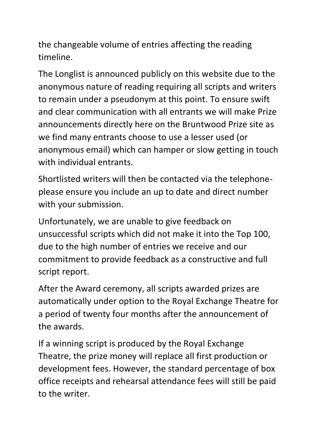the changeable volume of entries affecting the reading timeline.

The Longlist is announced publicly on this website due to the anonymous nature of reading requiring all scripts and writers to remain under a pseudonym at this point. To ensure swift and clear communication with all entrants we will make Prize announcements directly here on the Bruntwood Prize site as we find many entrants choose to use a lesser used (or anonymous email) which can hamper or slow getting in touch with individual entrants.

Shortlisted writers will then be contacted via the telephoneplease ensure you include an up to date and direct number with your submission.

Unfortunately, we are unable to give feedback on unsuccessful scripts which did not make it into the Top 100, due to the high number of entries we receive and our commitment to provide feedback as a constructive and full script report.

After the Award ceremony, all scripts awarded prizes are automatically under option to the Royal Exchange Theatre for a period of twenty four months after the announcement of the awards.

If a winning script is produced by the Royal Exchange Theatre, the prize money will replace all first production or development fees. However, the standard percentage of box office receipts and rehearsal attendance fees will still be paid to the writer.